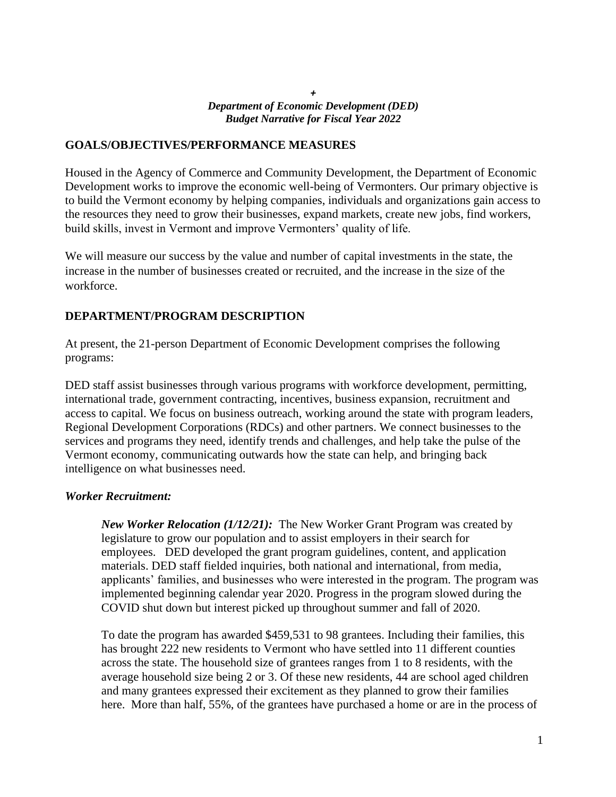#### *+ Department of Economic Development (DED) Budget Narrative for Fiscal Year 2022*

### **GOALS/OBJECTIVES/PERFORMANCE MEASURES**

Housed in the Agency of Commerce and Community Development, the Department of Economic Development works to improve the economic well-being of Vermonters. Our primary objective is to build the Vermont economy by helping companies, individuals and organizations gain access to the resources they need to grow their businesses, expand markets, create new jobs, find workers, build skills, invest in Vermont and improve Vermonters' quality of life.

We will measure our success by the value and number of capital investments in the state, the increase in the number of businesses created or recruited, and the increase in the size of the workforce.

## **DEPARTMENT/PROGRAM DESCRIPTION**

At present, the 21-person Department of Economic Development comprises the following programs:

DED staff assist businesses through various programs with workforce development, permitting, international trade, government contracting, incentives, business expansion, recruitment and access to capital. We focus on business outreach, working around the state with program leaders, Regional Development Corporations (RDCs) and other partners. We connect businesses to the services and programs they need, identify trends and challenges, and help take the pulse of the Vermont economy, communicating outwards how the state can help, and bringing back intelligence on what businesses need.

#### *Worker Recruitment:*

*New Worker Relocation (1/12/21):* The New Worker Grant Program was created by legislature to grow our population and to assist employers in their search for employees. DED developed the grant program guidelines, content, and application materials. DED staff fielded inquiries, both national and international, from media, applicants' families, and businesses who were interested in the program. The program was implemented beginning calendar year 2020. Progress in the program slowed during the COVID shut down but interest picked up throughout summer and fall of 2020.

To date the program has awarded \$459,531 to 98 grantees. Including their families, this has brought 222 new residents to Vermont who have settled into 11 different counties across the state. The household size of grantees ranges from 1 to 8 residents, with the average household size being 2 or 3. Of these new residents, 44 are school aged children and many grantees expressed their excitement as they planned to grow their families here. More than half, 55%, of the grantees have purchased a home or are in the process of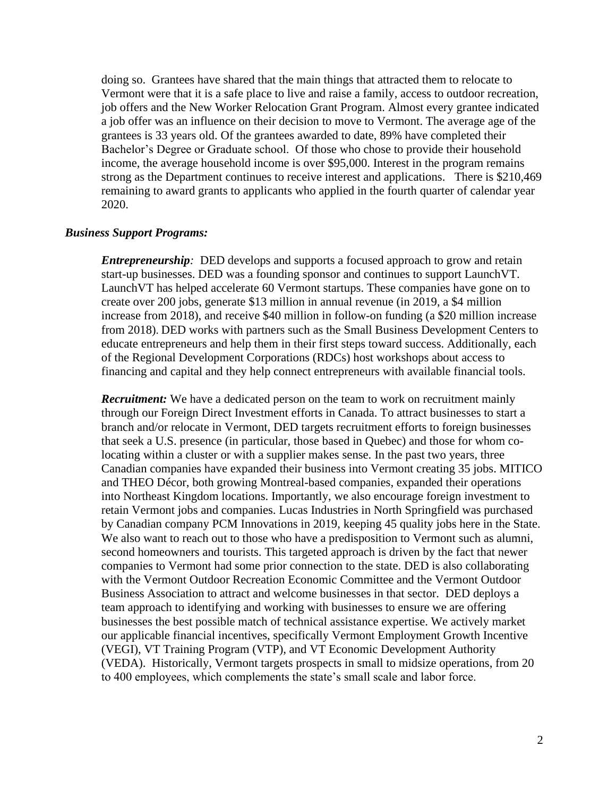doing so. Grantees have shared that the main things that attracted them to relocate to Vermont were that it is a safe place to live and raise a family, access to outdoor recreation, job offers and the New Worker Relocation Grant Program. Almost every grantee indicated a job offer was an influence on their decision to move to Vermont. The average age of the grantees is 33 years old. Of the grantees awarded to date, 89% have completed their Bachelor's Degree or Graduate school. Of those who chose to provide their household income, the average household income is over \$95,000. Interest in the program remains strong as the Department continues to receive interest and applications. There is \$210,469 remaining to award grants to applicants who applied in the fourth quarter of calendar year 2020.

#### *Business Support Programs:*

*Entrepreneurship*: DED develops and supports a focused approach to grow and retain start-up businesses. DED was a founding sponsor and continues to support LaunchVT. LaunchVT has helped accelerate 60 Vermont startups. These companies have gone on to create over 200 jobs, generate \$13 million in annual revenue (in 2019, a \$4 million increase from 2018), and receive \$40 million in follow-on funding (a \$20 million increase from 2018). DED works with partners such as the Small Business Development Centers to educate entrepreneurs and help them in their first steps toward success. Additionally, each of the Regional Development Corporations (RDCs) host workshops about access to financing and capital and they help connect entrepreneurs with available financial tools.

*Recruitment:* We have a dedicated person on the team to work on recruitment mainly through our Foreign Direct Investment efforts in Canada. To attract businesses to start a branch and/or relocate in Vermont, DED targets recruitment efforts to foreign businesses that seek a U.S. presence (in particular, those based in Quebec) and those for whom colocating within a cluster or with a supplier makes sense. In the past two years, three Canadian companies have expanded their business into Vermont creating 35 jobs. MITICO and THEO Décor, both growing Montreal-based companies, expanded their operations into Northeast Kingdom locations. Importantly, we also encourage foreign investment to retain Vermont jobs and companies. Lucas Industries in North Springfield was purchased by Canadian company PCM Innovations in 2019, keeping 45 quality jobs here in the State. We also want to reach out to those who have a predisposition to Vermont such as alumni, second homeowners and tourists. This targeted approach is driven by the fact that newer companies to Vermont had some prior connection to the state. DED is also collaborating with the Vermont Outdoor Recreation Economic Committee and the Vermont Outdoor Business Association to attract and welcome businesses in that sector. DED deploys a team approach to identifying and working with businesses to ensure we are offering businesses the best possible match of technical assistance expertise. We actively market our applicable financial incentives, specifically Vermont Employment Growth Incentive (VEGI), VT Training Program (VTP), and VT Economic Development Authority (VEDA). Historically, Vermont targets prospects in small to midsize operations, from 20 to 400 employees, which complements the state's small scale and labor force.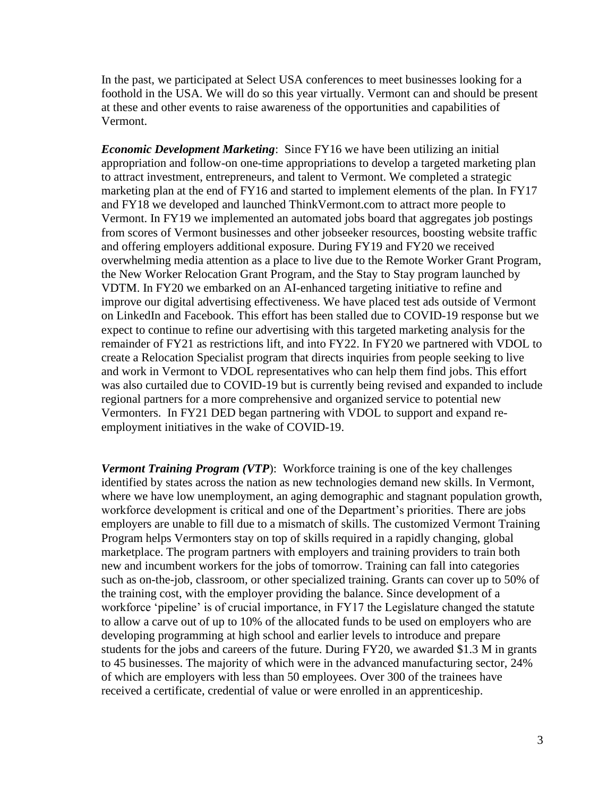In the past, we participated at Select USA conferences to meet businesses looking for a foothold in the USA. We will do so this year virtually. Vermont can and should be present at these and other events to raise awareness of the opportunities and capabilities of Vermont.

*Economic Development Marketing*: Since FY16 we have been utilizing an initial appropriation and follow-on one-time appropriations to develop a targeted marketing plan to attract investment, entrepreneurs, and talent to Vermont. We completed a strategic marketing plan at the end of FY16 and started to implement elements of the plan. In FY17 and FY18 we developed and launched [ThinkVermont.com](https://thinkvermont.com/) to attract more people to Vermont. In FY19 we implemented an automated jobs board that aggregates job postings from scores of Vermont businesses and other jobseeker resources, boosting website traffic and offering employers additional exposure. During FY19 and FY20 we received overwhelming media attention as a place to live due to the Remote Worker Grant Program, the New Worker Relocation Grant Program, and the Stay to Stay program launched by VDTM. In FY20 we embarked on an AI-enhanced targeting initiative to refine and improve our digital advertising effectiveness. We have placed test ads outside of Vermont on LinkedIn and Facebook. This effort has been stalled due to COVID-19 response but we expect to continue to refine our advertising with this targeted marketing analysis for the remainder of FY21 as restrictions lift, and into FY22. In FY20 we partnered with VDOL to create a Relocation Specialist program that directs inquiries from people seeking to live and work in Vermont to VDOL representatives who can help them find jobs. This effort was also curtailed due to COVID-19 but is currently being revised and expanded to include regional partners for a more comprehensive and organized service to potential new Vermonters. In FY21 DED began partnering with VDOL to support and expand reemployment initiatives in the wake of COVID-19.

*Vermont Training Program (VTP*): Workforce training is one of the key challenges identified by states across the nation as new technologies demand new skills. In Vermont, where we have low unemployment, an aging demographic and stagnant population growth, workforce development is critical and one of the Department's priorities. There are jobs employers are unable to fill due to a mismatch of skills. The customized Vermont Training Program helps Vermonters stay on top of skills required in a rapidly changing, global marketplace. The program partners with employers and training providers to train both new and incumbent workers for the jobs of tomorrow. Training can fall into categories such as on-the-job, classroom, or other specialized training. Grants can cover up to 50% of the training cost, with the employer providing the balance. Since development of a workforce 'pipeline' is of crucial importance, in FY17 the Legislature changed the statute to allow a carve out of up to 10% of the allocated funds to be used on employers who are developing programming at high school and earlier levels to introduce and prepare students for the jobs and careers of the future. During FY20, we awarded \$1.3 M in grants to 45 businesses. The majority of which were in the advanced manufacturing sector, 24% of which are employers with less than 50 employees. Over 300 of the trainees have received a certificate, credential of value or were enrolled in an apprenticeship.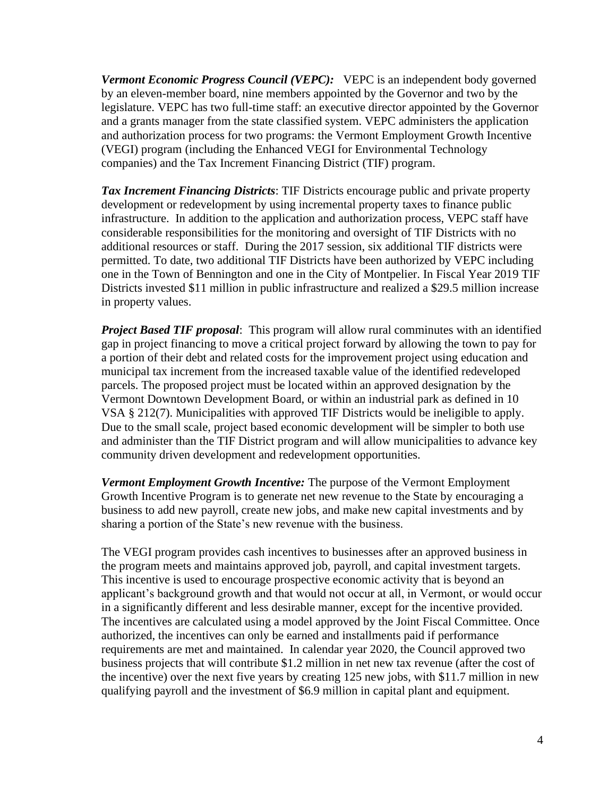*Vermont Economic Progress Council (VEPC):* VEPC is an independent body governed by an eleven-member board, nine members appointed by the Governor and two by the legislature. VEPC has two full-time staff: an executive director appointed by the Governor and a grants manager from the state classified system. VEPC administers the application and authorization process for two programs: the Vermont Employment Growth Incentive (VEGI) program (including the Enhanced VEGI for Environmental Technology companies) and the Tax Increment Financing District (TIF) program.

*Tax Increment Financing Districts*: TIF Districts encourage public and private property development or redevelopment by using incremental property taxes to finance public infrastructure. In addition to the application and authorization process, VEPC staff have considerable responsibilities for the monitoring and oversight of TIF Districts with no additional resources or staff. During the 2017 session, six additional TIF districts were permitted. To date, two additional TIF Districts have been authorized by VEPC including one in the Town of Bennington and one in the City of Montpelier. In Fiscal Year 2019 TIF Districts invested \$11 million in public infrastructure and realized a \$29.5 million increase in property values.

*Project Based TIF proposal*: This program will allow rural comminutes with an identified gap in project financing to move a critical project forward by allowing the town to pay for a portion of their debt and related costs for the improvement project using education and municipal tax increment from the increased taxable value of the identified redeveloped parcels. The proposed project must be located within an approved designation by the Vermont Downtown Development Board, or within an industrial park as defined in 10 VSA § 212(7). Municipalities with approved TIF Districts would be ineligible to apply. Due to the small scale, project based economic development will be simpler to both use and administer than the TIF District program and will allow municipalities to advance key community driven development and redevelopment opportunities.

*Vermont Employment Growth Incentive:* The purpose of the Vermont Employment Growth Incentive Program is to generate net new revenue to the State by encouraging a business to add new payroll, create new jobs, and make new capital investments and by sharing a portion of the State's new revenue with the business.

The VEGI program provides cash incentives to businesses after an approved business in the program meets and maintains approved job, payroll, and capital investment targets. This incentive is used to encourage prospective economic activity that is beyond an applicant's background growth and that would not occur at all, in Vermont, or would occur in a significantly different and less desirable manner, except for the incentive provided. The incentives are calculated using a model approved by the Joint Fiscal Committee. Once authorized, the incentives can only be earned and installments paid if performance requirements are met and maintained. In calendar year 2020, the Council approved two business projects that will contribute \$1.2 million in net new tax revenue (after the cost of the incentive) over the next five years by creating 125 new jobs, with \$11.7 million in new qualifying payroll and the investment of \$6.9 million in capital plant and equipment.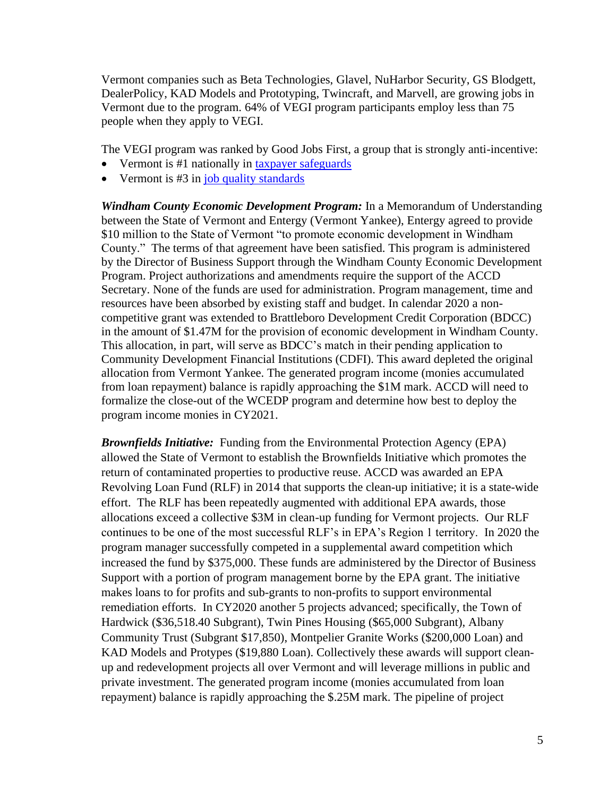Vermont companies such as Beta Technologies, Glavel, NuHarbor Security, GS Blodgett, DealerPolicy, KAD Models and Prototyping, Twincraft, and Marvell, are growing jobs in Vermont due to the program. 64% of VEGI program participants employ less than 75 people when they apply to VEGI.

The VEGI program was ranked by Good Jobs First, a group that is strongly anti-incentive:

- Vermont is #1 nationally in [taxpayer safeguards](http://www.goodjobsfirst.org/sites/default/files/docs/pdf/moneybackexecsum.pdf)
- Vermont is  $#3$  in [job quality standards](http://www.goodjobsfirst.org/sites/default/files/docs/pdf/moneyforsomethingexecsum.pdf)

*Windham County Economic Development Program:* In a Memorandum of Understanding between the State of Vermont and Entergy (Vermont Yankee), Entergy agreed to provide \$10 million to the State of Vermont "to promote economic development in Windham County." The terms of that agreement have been satisfied. This program is administered by the Director of Business Support through the Windham County Economic Development Program. Project authorizations and amendments require the support of the ACCD Secretary. None of the funds are used for administration. Program management, time and resources have been absorbed by existing staff and budget. In calendar 2020 a noncompetitive grant was extended to Brattleboro Development Credit Corporation (BDCC) in the amount of \$1.47M for the provision of economic development in Windham County. This allocation, in part, will serve as BDCC's match in their pending application to Community Development Financial Institutions (CDFI). This award depleted the original allocation from Vermont Yankee. The generated program income (monies accumulated from loan repayment) balance is rapidly approaching the \$1M mark. ACCD will need to formalize the close-out of the WCEDP program and determine how best to deploy the program income monies in CY2021.

*Brownfields Initiative:* Funding from the Environmental Protection Agency (EPA) allowed the State of Vermont to establish the Brownfields Initiative which promotes the return of contaminated properties to productive reuse. ACCD was awarded an EPA Revolving Loan Fund (RLF) in 2014 that supports the clean-up initiative; it is a state-wide effort. The RLF has been repeatedly augmented with additional EPA awards, those allocations exceed a collective \$3M in clean-up funding for Vermont projects. Our RLF continues to be one of the most successful RLF's in EPA's Region 1 territory. In 2020 the program manager successfully competed in a supplemental award competition which increased the fund by \$375,000. These funds are administered by the Director of Business Support with a portion of program management borne by the EPA grant. The initiative makes loans to for profits and sub-grants to non-profits to support environmental remediation efforts. In CY2020 another 5 projects advanced; specifically, the Town of Hardwick (\$36,518.40 Subgrant), Twin Pines Housing (\$65,000 Subgrant), Albany Community Trust (Subgrant \$17,850), Montpelier Granite Works (\$200,000 Loan) and KAD Models and Protypes (\$19,880 Loan). Collectively these awards will support cleanup and redevelopment projects all over Vermont and will leverage millions in public and private investment. The generated program income (monies accumulated from loan repayment) balance is rapidly approaching the \$.25M mark. The pipeline of project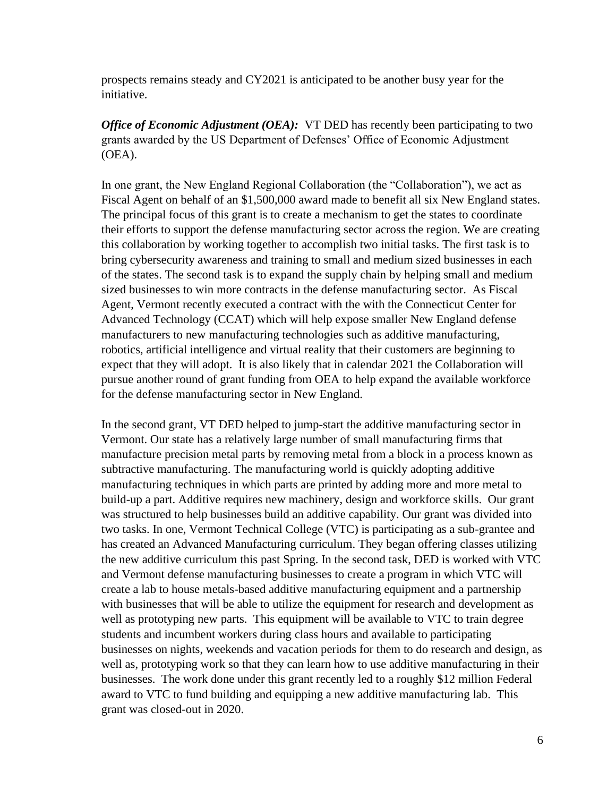prospects remains steady and CY2021 is anticipated to be another busy year for the initiative.

*Office of Economic Adjustment (OEA):* VT DED has recently been participating to two grants awarded by the US Department of Defenses' Office of Economic Adjustment (OEA).

In one grant, the New England Regional Collaboration (the "Collaboration"), we act as Fiscal Agent on behalf of an \$1,500,000 award made to benefit all six New England states. The principal focus of this grant is to create a mechanism to get the states to coordinate their efforts to support the defense manufacturing sector across the region. We are creating this collaboration by working together to accomplish two initial tasks. The first task is to bring cybersecurity awareness and training to small and medium sized businesses in each of the states. The second task is to expand the supply chain by helping small and medium sized businesses to win more contracts in the defense manufacturing sector. As Fiscal Agent, Vermont recently executed a contract with the with the Connecticut Center for Advanced Technology (CCAT) which will help expose smaller New England defense manufacturers to new manufacturing technologies such as additive manufacturing, robotics, artificial intelligence and virtual reality that their customers are beginning to expect that they will adopt. It is also likely that in calendar 2021 the Collaboration will pursue another round of grant funding from OEA to help expand the available workforce for the defense manufacturing sector in New England.

In the second grant, VT DED helped to jump-start the additive manufacturing sector in Vermont. Our state has a relatively large number of small manufacturing firms that manufacture precision metal parts by removing metal from a block in a process known as subtractive manufacturing. The manufacturing world is quickly adopting additive manufacturing techniques in which parts are printed by adding more and more metal to build-up a part. Additive requires new machinery, design and workforce skills. Our grant was structured to help businesses build an additive capability. Our grant was divided into two tasks. In one, Vermont Technical College (VTC) is participating as a sub-grantee and has created an Advanced Manufacturing curriculum. They began offering classes utilizing the new additive curriculum this past Spring. In the second task, DED is worked with VTC and Vermont defense manufacturing businesses to create a program in which VTC will create a lab to house metals-based additive manufacturing equipment and a partnership with businesses that will be able to utilize the equipment for research and development as well as prototyping new parts. This equipment will be available to VTC to train degree students and incumbent workers during class hours and available to participating businesses on nights, weekends and vacation periods for them to do research and design, as well as, prototyping work so that they can learn how to use additive manufacturing in their businesses. The work done under this grant recently led to a roughly \$12 million Federal award to VTC to fund building and equipping a new additive manufacturing lab. This grant was closed-out in 2020.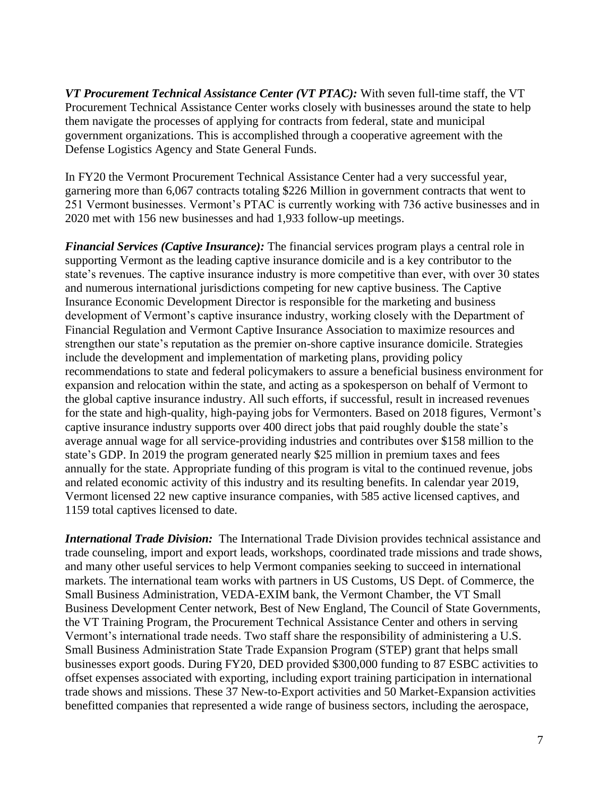*VT Procurement Technical Assistance Center (VT PTAC):* With seven full-time staff, the VT Procurement Technical Assistance Center works closely with businesses around the state to help them navigate the processes of applying for contracts from federal, state and municipal government organizations. This is accomplished through a cooperative agreement with the Defense Logistics Agency and State General Funds.

In FY20 the Vermont Procurement Technical Assistance Center had a very successful year, garnering more than 6,067 contracts totaling \$226 Million in government contracts that went to 251 Vermont businesses. Vermont's PTAC is currently working with 736 active businesses and in 2020 met with 156 new businesses and had 1,933 follow-up meetings.

*Financial Services (Captive Insurance):* The financial services program plays a central role in supporting Vermont as the leading captive insurance domicile and is a key contributor to the state's revenues. The captive insurance industry is more competitive than ever, with over 30 states and numerous international jurisdictions competing for new captive business. The Captive Insurance Economic Development Director is responsible for the marketing and business development of Vermont's captive insurance industry, working closely with the Department of Financial Regulation and Vermont Captive Insurance Association to maximize resources and strengthen our state's reputation as the premier on-shore captive insurance domicile. Strategies include the development and implementation of marketing plans, providing policy recommendations to state and federal policymakers to assure a beneficial business environment for expansion and relocation within the state, and acting as a spokesperson on behalf of Vermont to the global captive insurance industry. All such efforts, if successful, result in increased revenues for the state and high-quality, high-paying jobs for Vermonters. Based on 2018 figures, Vermont's captive insurance industry supports over 400 direct jobs that paid roughly double the state's average annual wage for all service-providing industries and contributes over \$158 million to the state's GDP. In 2019 the program generated nearly \$25 million in premium taxes and fees annually for the state. Appropriate funding of this program is vital to the continued revenue, jobs and related economic activity of this industry and its resulting benefits. In calendar year 2019, Vermont licensed 22 new captive insurance companies, with 585 active licensed captives, and 1159 total captives licensed to date.

*International Trade Division:* The International Trade Division provides technical assistance and trade counseling, import and export leads, workshops, coordinated trade missions and trade shows, and many other useful services to help Vermont companies seeking to succeed in international markets. The international team works with partners in US Customs, US Dept. of Commerce, the Small Business Administration, VEDA-EXIM bank, the Vermont Chamber, the VT Small Business Development Center network, Best of New England, The Council of State Governments, the VT Training Program, the Procurement Technical Assistance Center and others in serving Vermont's international trade needs. Two staff share the responsibility of administering a U.S. Small Business Administration State Trade Expansion Program (STEP) grant that helps small businesses export goods. During FY20, DED provided \$300,000 funding to 87 ESBC activities to offset expenses associated with exporting, including export training participation in international trade shows and missions. These 37 New-to-Export activities and 50 Market-Expansion activities benefitted companies that represented a wide range of business sectors, including the aerospace,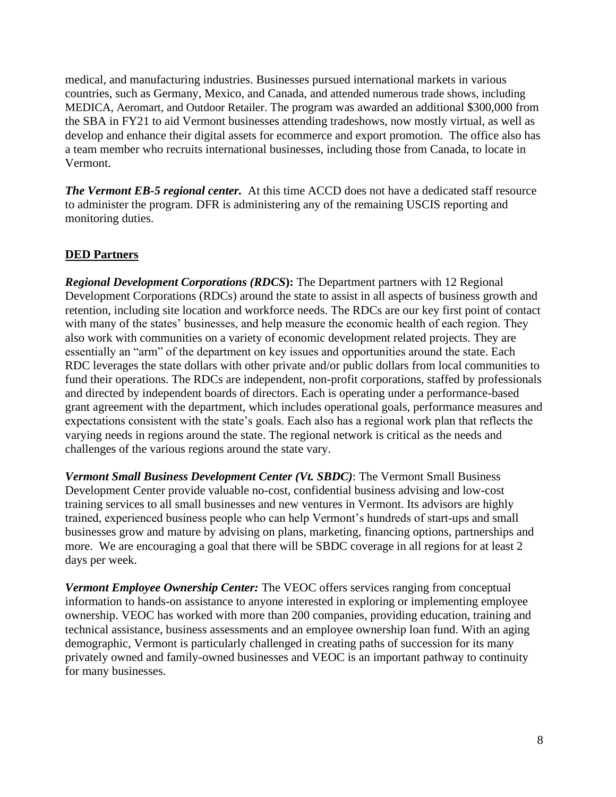medical, and manufacturing industries. Businesses pursued international markets in various countries, such as Germany, Mexico, and Canada, and attended numerous trade shows, including MEDICA, Aeromart, and Outdoor Retailer. The program was awarded an additional \$300,000 from the SBA in FY21 to aid Vermont businesses attending tradeshows, now mostly virtual, as well as develop and enhance their digital assets for ecommerce and export promotion. The office also has a team member who recruits international businesses, including those from Canada, to locate in Vermont.

*The Vermont EB-5 regional center.* At this time ACCD does not have a dedicated staff resource to administer the program. DFR is administering any of the remaining USCIS reporting and monitoring duties.

## **DED Partners**

*Regional Development Corporations (RDCS***):** The Department partners with 12 Regional Development Corporations (RDCs) around the state to assist in all aspects of business growth and retention, including site location and workforce needs. The RDCs are our key first point of contact with many of the states' businesses, and help measure the economic health of each region. They also work with communities on a variety of economic development related projects. They are essentially an "arm" of the department on key issues and opportunities around the state. Each RDC leverages the state dollars with other private and/or public dollars from local communities to fund their operations. The RDCs are independent, non-profit corporations, staffed by professionals and directed by independent boards of directors. Each is operating under a performance-based grant agreement with the department, which includes operational goals, performance measures and expectations consistent with the state's goals. Each also has a regional work plan that reflects the varying needs in regions around the state. The regional network is critical as the needs and challenges of the various regions around the state vary.

*Vermont Small Business Development Center (Vt. SBDC)*: The Vermont Small Business Development Center provide valuable no-cost, confidential business advising and low-cost training services to all small businesses and new ventures in Vermont. Its advisors are highly trained, experienced business people who can help Vermont's hundreds of start-ups and small businesses grow and mature by advising on plans, marketing, financing options, partnerships and more. We are encouraging a goal that there will be SBDC coverage in all regions for at least 2 days per week.

*Vermont Employee Ownership Center:* The VEOC offers services ranging from conceptual information to hands-on assistance to anyone interested in exploring or implementing employee ownership. VEOC has worked with more than 200 companies, providing education, training and technical assistance, business assessments and an employee ownership loan fund. With an aging demographic, Vermont is particularly challenged in creating paths of succession for its many privately owned and family-owned businesses and VEOC is an important pathway to continuity for many businesses.